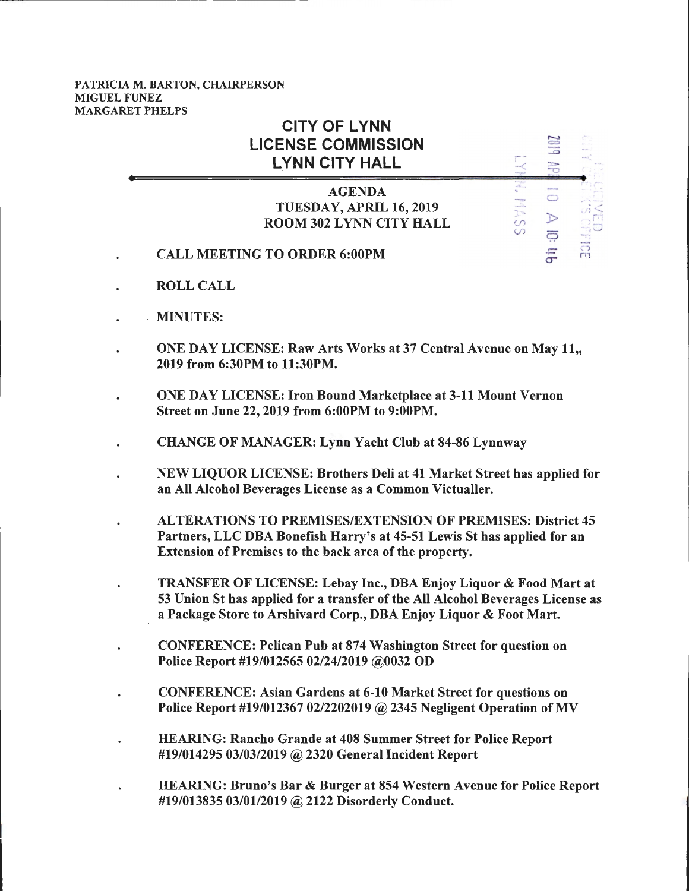## PATRICIA M. BARTON, CHAIRPERSON MIGUEL FUNEZ MARGARET PHELPS

| <b>CITY OF LYNN</b><br><b>LICENSE COMMISSION</b><br><b>LYNN CITY HALL</b>  |                                                         | $\Box$<br>escover                                 |   |
|----------------------------------------------------------------------------|---------------------------------------------------------|---------------------------------------------------|---|
| <b>AGENDA</b><br>TUESDAY, APRIL 16, 2019<br><b>ROOM 302 LYNN CITY HALL</b> | <b>PPP ASSS</b><br><b>Hill Power</b><br><b>Bong</b> ran | <b>Wildlife Alexa</b><br>$\overline{\phantom{1}}$ |   |
| <b>CALL MEETING TO ORDER 6:00PM</b>                                        |                                                         | -ima                                              | m |

- ROLL CALL
- MINUTES:
- ONE DAY LICENSE: Raw Arts Works at 37 Central Avenue on May 11,, 2019 from 6:30PM to 11:30PM.
- ONE DAY LICENSE: Iron Bound Marketplace at 3-11 Mount Vernon Street on June 22, 2019 from 6:00PM to 9:00PM.
- CHANGE OF MANAGER: Lynn Yacht Club at 84-86 Lynnway
- NEW LIQUOR LICENSE: Brothers Deli at 41 Market Street has applied for an All Alcohol Beverages License as a Common Victualler.
- AL TERA TIO NS TO PREMISES/EXTENSION OF PREMISES: District 45 Partners, LLC DBA Bonefish Harry's at 45-51 Lewis St has applied for an Extension of Premises to the back area of the property.
- TRANSFER OF LICENSE: Lebay Inc., DBA Enjoy Liquor & Food Mart at 53 Union St has applied for a transfer of the All Alcohol Beverages License as a Package Store to Arshivard Corp., DBA Enjoy Liquor & Foot Mart.
- CONFERENCE: Pelican Pub at 874 Washington Street for question on Police Report #19/012565 02/24/2019 @0032 OD
- CONFERENCE: Asian Gardens at 6-10 Market Street for questions on Police Report #19/012367 02/2202019 @ 2345 Negligent Operation of MV
- HEARING: Rancho Grande at 408 Summer Street for Police Report #19/014295 03/03/2019 @ 2320 General Incident Report
- HEARING: Bruno's Bar & Burger at 854 Western Avenue for Police Report #19/013835 03/01/2019 @ 2122 Disorderly Conduct.